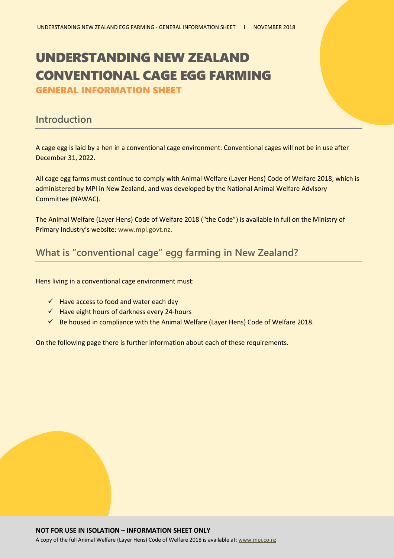# UNDERSTANDING NEW ZEALAND CONVENTIONAL CAGE EGG FARMING

GENERAL INFORMATION SHEET

#### **Introduction**

A cage egg is laid by a hen in a conventional cage environment. Conventional cages will not be in use after December 31, 2022.

All cage egg farms must continue to comply with Animal Welfare (Layer Hens) Code of Welfare 2018, which is administered by MPI in New Zealand, and was developed by the National Animal Welfare Advisory Committee (NAWAC).

The Animal Welfare (Layer Hens) Code of Welfare 2018 ("the Code") is available in full on the Ministry of Primary Industry's website: [www.mpi.govt.nz.](http://www.mpi.govt.nz/)

## **What is "conventional cage" egg farming in New Zealand?**

Hens living in a conventional cage environment must:

- $\checkmark$  Have access to food and water each day
- $\checkmark$  Have eight hours of darkness every 24-hours
- $\checkmark$  Be housed in compliance with the Animal Welfare (Layer Hens) Code of Welfare 2018.

On the following page there is further information about each of these requirements.